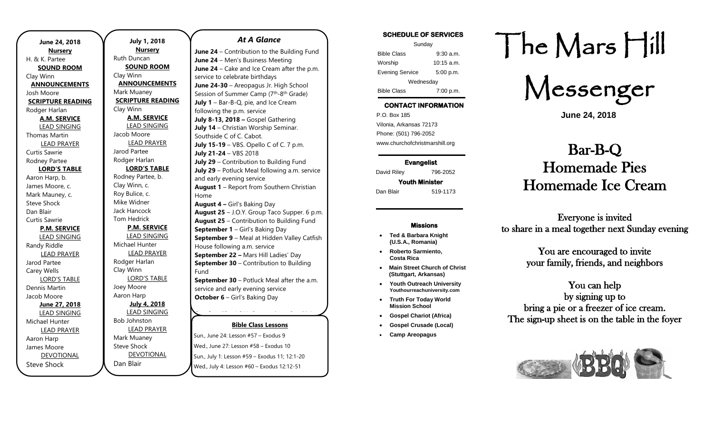| June 24, 2018                    |  |  |
|----------------------------------|--|--|
|                                  |  |  |
| <b>Nursery</b><br>H. & K. Partee |  |  |
| <b>SOUND ROOM</b>                |  |  |
| Clay Winn                        |  |  |
| <b>ANNOUNCEMENTS</b>             |  |  |
| Josh Moore                       |  |  |
| <b>SCRIPTURE READING</b>         |  |  |
| Rodger Harlan                    |  |  |
| <b>A.M. SERVICE</b>              |  |  |
| <b>LEAD SINGING</b>              |  |  |
| <b>Thomas Martin</b>             |  |  |
| <b>LEAD PRAYER</b>               |  |  |
| Curtis Sawrie                    |  |  |
| Rodney Partee                    |  |  |
| <b>LORD'S TABLE</b>              |  |  |
| Aaron Harp, b.                   |  |  |
| James Moore, c.                  |  |  |
| Mark Mauney, c.                  |  |  |
| <b>Steve Shock</b>               |  |  |
| Dan Blair                        |  |  |
| <b>Curtis Sawrie</b>             |  |  |
| <b>P.M. SERVICE</b>              |  |  |
| <b>LEAD SINGING</b>              |  |  |
| Randy Riddle                     |  |  |
| <b>LEAD PRAYER</b>               |  |  |
| Jarod Partee                     |  |  |
| <b>Carey Wells</b>               |  |  |
| <b>LORD'S TABLE</b>              |  |  |
| Dennis Martin                    |  |  |
| Jacob Moore                      |  |  |
| June 27, 2018                    |  |  |
| <b>LEAD SINGING</b>              |  |  |
| Michael Hunter                   |  |  |
| <b>LEAD PRAYER</b>               |  |  |
| Aaron Harp                       |  |  |
| James Moore                      |  |  |
| <b>DEVOTIONAL</b>                |  |  |
| <b>Steve Shock</b>               |  |  |

**July 1, 2018 Nursery** Ruth Duncan **SOUND ROOM** Clay Winn **ANNOUNCEMENTS** Mark Muaney **SCRIPTURE READING** Clay Winn **A.M. SERVICE** LEAD SINGING Jacob Moore LEAD PRAYER Jarod Partee Rodger Harlan **LORD'S TABLE** Rodney Partee, b. Clay Winn, c. Roy Bulice, c. Mike Widner Jack Hancock Tom Hedrick **P.M. SERVICE** LEAD SINGING Michael Hunter LEAD PRAYER Rodger Harlan Clay Winn LORD'S TABLE Joey Moore Aaron Harp **July 4, 2018** LEAD SINGING Bob Johnston LEAD PRAYER Mark Muaney Steve Shock DEVOTIONAL

Dan Blair

*At A Glance* 

**June 24** – Contribution to the Building Fund **June 24** – Men's Business Meeting **June 24** – Cake and Ice Cream after the p.m. service to celebrate birthdays **June 24-30** – Areopagus Jr. High School Session of Summer Camp (7<sup>th</sup>-8<sup>th</sup> Grade) **July 1** – Bar-B-Q, pie, and Ice Cream following the p.m. service **July 8-13, 2018 –** Gospel Gathering **July 14** – Christian Worship Seminar. Southside C of C. Cabot. **July 15-19** – VBS. Opello C of C. 7 p.m. **July 21-24** – VBS 2018 **July 29** – Contribution to Building Fund **July 29** – Potluck Meal following a.m. service and early evening service **August 1** – Report from Southern Christian Home **August 4 –** Girl's Baking Day **August 25** – J.O.Y. Group Taco Supper. 6 p.m. **August 25** – Contribution to Building Fund **September 1** – Girl's Baking Day **September 9** – Meal at Hidden Valley Catfish House following a.m. service **September 22 –** Mars Hill Ladies' Day **September 30 – Contribution to Building** Fund **September 30** – Potluck Meal after the a.m. service and early evening service **October 6** – Girl's Baking Day **October 13** – J.O.Y. Group trip to Smokin'

### **Bible Class Lessons**

**Sun., June 24: Lesson #57 – Exodus 9** Wed., June 27: Lesson #58 – Exodus 10 Sun., July 1: Lesson #59 – Exodus 11; 12:1-20 Wed., July 4: Lesson #60 - Exodus 12:12-51 **Dant, Jane 24. Ecoson 457 – Exodus D November 22** – Thanksgiving Potluck after

### **SCHEDULE OF SERVICES**

| Sunday                 |              |  |
|------------------------|--------------|--|
| <b>Bible Class</b>     | $9:30$ a.m.  |  |
| Worship                | $10:15$ a.m. |  |
| <b>Evening Service</b> | 5:00 p.m.    |  |
| Wednesday              |              |  |
| <b>Bible Class</b>     | 7:00 p.m.    |  |

## **CONTACT INFORMATION**

. .o. Box 166<br>Vilonia, Arkansas 72173 P.O. Box 185 Phone: (501) 796-2052 www.churchofchristmarshill.org

**Evangelist**  David Riley 796-2052 **Youth Minister** 

Dan Blair 519-1173

#### **Missions**

- **Ted & Barbara Knight (U.S.A., Romania)**
- **Roberto Sarmiento, Costa Rica**
- **Main Street Church of Christ (Stuttgart, Arkansas)**
- **Youth Outreach University Youthourreachuniversity.com**
- **Truth For Today World Mission School**
- **Gospel Chariot (Africa)**
- **Gospel Crusade (Local)**
- **Camp Areopagus**

# The Mars Hill

Messenger

**June 24, 2018**

# Bar-B-Q Homemade Pies Homemade Ice Cream

Everyone is invited to share in a meal together next Sunday evening

> You are encouraged to invite your family, friends, and neighbors

You can help by signing up to bring a pie or a freezer of ice cream. The sign-up sheet is on the table in the foyer